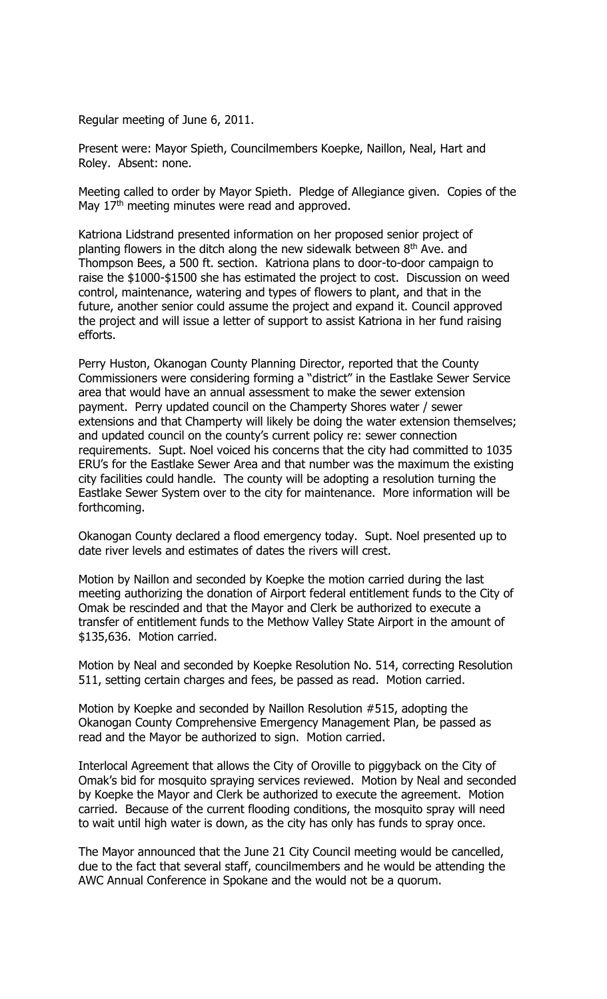Regular meeting of June 6, 2011.

Present were: Mayor Spieth, Councilmembers Koepke, Naillon, Neal, Hart and Roley. Absent: none.

Meeting called to order by Mayor Spieth. Pledge of Allegiance given. Copies of the May  $17<sup>th</sup>$  meeting minutes were read and approved.

Katriona Lidstrand presented information on her proposed senior project of planting flowers in the ditch along the new sidewalk between  $8<sup>th</sup>$  Ave. and Thompson Bees, a 500 ft. section. Katriona plans to door-to-door campaign to raise the \$1000-\$1500 she has estimated the project to cost. Discussion on weed control, maintenance, watering and types of flowers to plant, and that in the future, another senior could assume the project and expand it. Council approved the project and will issue a letter of support to assist Katriona in her fund raising efforts.

Perry Huston, Okanogan County Planning Director, reported that the County Commissioners were considering forming a "district" in the Eastlake Sewer Service area that would have an annual assessment to make the sewer extension payment. Perry updated council on the Champerty Shores water / sewer extensions and that Champerty will likely be doing the water extension themselves; and updated council on the county's current policy re: sewer connection requirements. Supt. Noel voiced his concerns that the city had committed to 1035 ERU's for the Eastlake Sewer Area and that number was the maximum the existing city facilities could handle. The county will be adopting a resolution turning the Eastlake Sewer System over to the city for maintenance. More information will be forthcoming.

Okanogan County declared a flood emergency today. Supt. Noel presented up to date river levels and estimates of dates the rivers will crest.

Motion by Naillon and seconded by Koepke the motion carried during the last meeting authorizing the donation of Airport federal entitlement funds to the City of Omak be rescinded and that the Mayor and Clerk be authorized to execute a transfer of entitlement funds to the Methow Valley State Airport in the amount of \$135,636. Motion carried.

Motion by Neal and seconded by Koepke Resolution No. 514, correcting Resolution 511, setting certain charges and fees, be passed as read. Motion carried.

Motion by Koepke and seconded by Naillon Resolution #515, adopting the Okanogan County Comprehensive Emergency Management Plan, be passed as read and the Mayor be authorized to sign. Motion carried.

Interlocal Agreement that allows the City of Oroville to piggyback on the City of Omak's bid for mosquito spraying services reviewed. Motion by Neal and seconded by Koepke the Mayor and Clerk be authorized to execute the agreement. Motion carried. Because of the current flooding conditions, the mosquito spray will need to wait until high water is down, as the city has only has funds to spray once.

The Mayor announced that the June 21 City Council meeting would be cancelled, due to the fact that several staff, councilmembers and he would be attending the AWC Annual Conference in Spokane and the would not be a quorum.